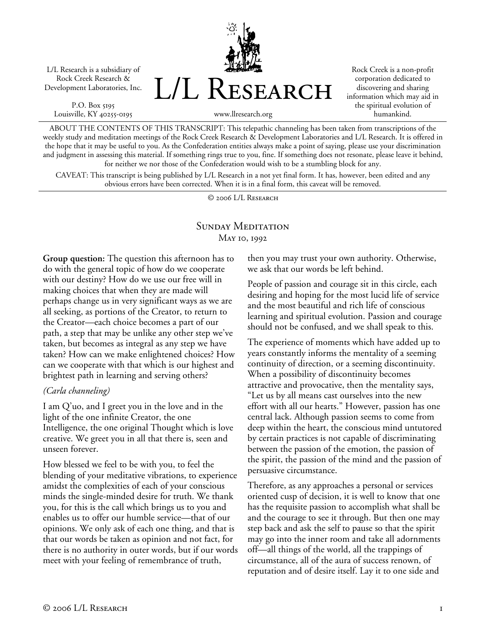L/L Research is a subsidiary of Rock Creek Research & Development Laboratories, Inc.

P.O. Box 5195 Louisville, KY 40255-0195



Rock Creek is a non-profit corporation dedicated to discovering and sharing information which may aid in the spiritual evolution of humankind.

www.llresearch.org

ABOUT THE CONTENTS OF THIS TRANSCRIPT: This telepathic channeling has been taken from transcriptions of the weekly study and meditation meetings of the Rock Creek Research & Development Laboratories and L/L Research. It is offered in the hope that it may be useful to you. As the Confederation entities always make a point of saying, please use your discrimination and judgment in assessing this material. If something rings true to you, fine. If something does not resonate, please leave it behind, for neither we nor those of the Confederation would wish to be a stumbling block for any.

CAVEAT: This transcript is being published by L/L Research in a not yet final form. It has, however, been edited and any obvious errors have been corrected. When it is in a final form, this caveat will be removed.

© 2006 L/L Research

# SUNDAY MEDITATION May 10, 1992

**Group question:** The question this afternoon has to do with the general topic of how do we cooperate with our destiny? How do we use our free will in making choices that when they are made will perhaps change us in very significant ways as we are all seeking, as portions of the Creator, to return to the Creator—each choice becomes a part of our path, a step that may be unlike any other step we've taken, but becomes as integral as any step we have taken? How can we make enlightened choices? How can we cooperate with that which is our highest and brightest path in learning and serving others?

## *(Carla channeling)*

I am Q'uo, and I greet you in the love and in the light of the one infinite Creator, the one Intelligence, the one original Thought which is love creative. We greet you in all that there is, seen and unseen forever.

How blessed we feel to be with you, to feel the blending of your meditative vibrations, to experience amidst the complexities of each of your conscious minds the single-minded desire for truth. We thank you, for this is the call which brings us to you and enables us to offer our humble service—that of our opinions. We only ask of each one thing, and that is that our words be taken as opinion and not fact, for there is no authority in outer words, but if our words meet with your feeling of remembrance of truth,

then you may trust your own authority. Otherwise, we ask that our words be left behind.

People of passion and courage sit in this circle, each desiring and hoping for the most lucid life of service and the most beautiful and rich life of conscious learning and spiritual evolution. Passion and courage should not be confused, and we shall speak to this.

The experience of moments which have added up to years constantly informs the mentality of a seeming continuity of direction, or a seeming discontinuity. When a possibility of discontinuity becomes attractive and provocative, then the mentality says, "Let us by all means cast ourselves into the new effort with all our hearts." However, passion has one central lack. Although passion seems to come from deep within the heart, the conscious mind untutored by certain practices is not capable of discriminating between the passion of the emotion, the passion of the spirit, the passion of the mind and the passion of persuasive circumstance.

Therefore, as any approaches a personal or services oriented cusp of decision, it is well to know that one has the requisite passion to accomplish what shall be and the courage to see it through. But then one may step back and ask the self to pause so that the spirit may go into the inner room and take all adornments off—all things of the world, all the trappings of circumstance, all of the aura of success renown, of reputation and of desire itself. Lay it to one side and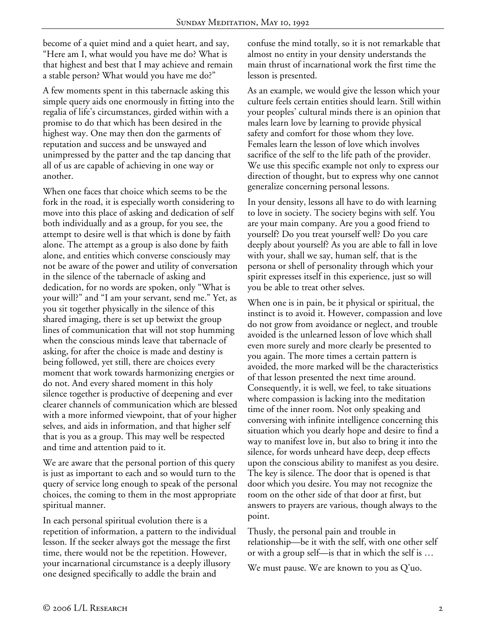become of a quiet mind and a quiet heart, and say, "Here am I, what would you have me do? What is that highest and best that I may achieve and remain a stable person? What would you have me do?"

A few moments spent in this tabernacle asking this simple query aids one enormously in fitting into the regalia of life's circumstances, girded within with a promise to do that which has been desired in the highest way. One may then don the garments of reputation and success and be unswayed and unimpressed by the patter and the tap dancing that all of us are capable of achieving in one way or another.

When one faces that choice which seems to be the fork in the road, it is especially worth considering to move into this place of asking and dedication of self both individually and as a group, for you see, the attempt to desire well is that which is done by faith alone. The attempt as a group is also done by faith alone, and entities which converse consciously may not be aware of the power and utility of conversation in the silence of the tabernacle of asking and dedication, for no words are spoken, only "What is your will?" and "I am your servant, send me." Yet, as you sit together physically in the silence of this shared imaging, there is set up betwixt the group lines of communication that will not stop humming when the conscious minds leave that tabernacle of asking, for after the choice is made and destiny is being followed, yet still, there are choices every moment that work towards harmonizing energies or do not. And every shared moment in this holy silence together is productive of deepening and ever clearer channels of communication which are blessed with a more informed viewpoint, that of your higher selves, and aids in information, and that higher self that is you as a group. This may well be respected and time and attention paid to it.

We are aware that the personal portion of this query is just as important to each and so would turn to the query of service long enough to speak of the personal choices, the coming to them in the most appropriate spiritual manner.

In each personal spiritual evolution there is a repetition of information, a pattern to the individual lesson. If the seeker always got the message the first time, there would not be the repetition. However, your incarnational circumstance is a deeply illusory one designed specifically to addle the brain and

confuse the mind totally, so it is not remarkable that almost no entity in your density understands the main thrust of incarnational work the first time the lesson is presented.

As an example, we would give the lesson which your culture feels certain entities should learn. Still within your peoples' cultural minds there is an opinion that males learn love by learning to provide physical safety and comfort for those whom they love. Females learn the lesson of love which involves sacrifice of the self to the life path of the provider. We use this specific example not only to express our direction of thought, but to express why one cannot generalize concerning personal lessons.

In your density, lessons all have to do with learning to love in society. The society begins with self. You are your main company. Are you a good friend to yourself? Do you treat yourself well? Do you care deeply about yourself? As you are able to fall in love with your, shall we say, human self, that is the persona or shell of personality through which your spirit expresses itself in this experience, just so will you be able to treat other selves.

When one is in pain, be it physical or spiritual, the instinct is to avoid it. However, compassion and love do not grow from avoidance or neglect, and trouble avoided is the unlearned lesson of love which shall even more surely and more clearly be presented to you again. The more times a certain pattern is avoided, the more marked will be the characteristics of that lesson presented the next time around. Consequently, it is well, we feel, to take situations where compassion is lacking into the meditation time of the inner room. Not only speaking and conversing with infinite intelligence concerning this situation which you dearly hope and desire to find a way to manifest love in, but also to bring it into the silence, for words unheard have deep, deep effects upon the conscious ability to manifest as you desire. The key is silence. The door that is opened is that door which you desire. You may not recognize the room on the other side of that door at first, but answers to prayers are various, though always to the point.

Thusly, the personal pain and trouble in relationship—be it with the self, with one other self or with a group self—is that in which the self is …

We must pause. We are known to you as Q'uo.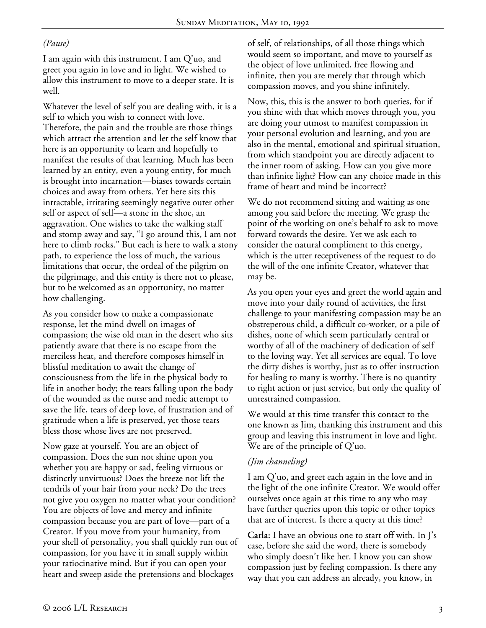### *(Pause)*

I am again with this instrument. I am Q'uo, and greet you again in love and in light. We wished to allow this instrument to move to a deeper state. It is well.

Whatever the level of self you are dealing with, it is a self to which you wish to connect with love. Therefore, the pain and the trouble are those things which attract the attention and let the self know that here is an opportunity to learn and hopefully to manifest the results of that learning. Much has been learned by an entity, even a young entity, for much is brought into incarnation—biases towards certain choices and away from others. Yet here sits this intractable, irritating seemingly negative outer other self or aspect of self—a stone in the shoe, an aggravation. One wishes to take the walking staff and stomp away and say, "I go around this, I am not here to climb rocks." But each is here to walk a stony path, to experience the loss of much, the various limitations that occur, the ordeal of the pilgrim on the pilgrimage, and this entity is there not to please, but to be welcomed as an opportunity, no matter how challenging.

As you consider how to make a compassionate response, let the mind dwell on images of compassion; the wise old man in the desert who sits patiently aware that there is no escape from the merciless heat, and therefore composes himself in blissful meditation to await the change of consciousness from the life in the physical body to life in another body; the tears falling upon the body of the wounded as the nurse and medic attempt to save the life, tears of deep love, of frustration and of gratitude when a life is preserved, yet those tears bless those whose lives are not preserved.

Now gaze at yourself. You are an object of compassion. Does the sun not shine upon you whether you are happy or sad, feeling virtuous or distinctly unvirtuous? Does the breeze not lift the tendrils of your hair from your neck? Do the trees not give you oxygen no matter what your condition? You are objects of love and mercy and infinite compassion because you are part of love—part of a Creator. If you move from your humanity, from your shell of personality, you shall quickly run out of compassion, for you have it in small supply within your ratiocinative mind. But if you can open your heart and sweep aside the pretensions and blockages

of self, of relationships, of all those things which would seem so important, and move to yourself as the object of love unlimited, free flowing and infinite, then you are merely that through which compassion moves, and you shine infinitely.

Now, this, this is the answer to both queries, for if you shine with that which moves through you, you are doing your utmost to manifest compassion in your personal evolution and learning, and you are also in the mental, emotional and spiritual situation, from which standpoint you are directly adjacent to the inner room of asking. How can you give more than infinite light? How can any choice made in this frame of heart and mind be incorrect?

We do not recommend sitting and waiting as one among you said before the meeting. We grasp the point of the working on one's behalf to ask to move forward towards the desire. Yet we ask each to consider the natural compliment to this energy, which is the utter receptiveness of the request to do the will of the one infinite Creator, whatever that may be.

As you open your eyes and greet the world again and move into your daily round of activities, the first challenge to your manifesting compassion may be an obstreperous child, a difficult co-worker, or a pile of dishes, none of which seem particularly central or worthy of all of the machinery of dedication of self to the loving way. Yet all services are equal. To love the dirty dishes is worthy, just as to offer instruction for healing to many is worthy. There is no quantity to right action or just service, but only the quality of unrestrained compassion.

We would at this time transfer this contact to the one known as Jim, thanking this instrument and this group and leaving this instrument in love and light. We are of the principle of Q'uo.

## *(Jim channeling)*

I am Q'uo, and greet each again in the love and in the light of the one infinite Creator. We would offer ourselves once again at this time to any who may have further queries upon this topic or other topics that are of interest. Is there a query at this time?

**Carla:** I have an obvious one to start off with. In J's case, before she said the word, there is somebody who simply doesn't like her. I know you can show compassion just by feeling compassion. Is there any way that you can address an already, you know, in